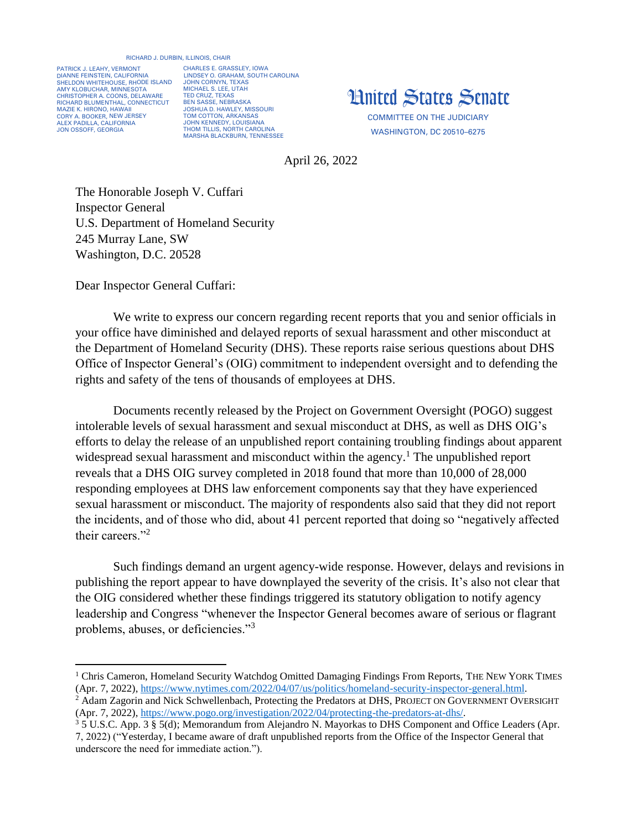## RICHARD J. DURBIN, ILLINOIS, CHAIR

PATRICK J. LEAHY, VERMONT DIANNE FEINSTEIN, CALIFORNIA SHELDON WHITEHOUSE, RHODE ISLAND AMY KLOBUCHAR, MINNESOTA CHRISTOPHER A. COONS, DELAWARE RICHARD BLUMENTHAL, CONNECTICUT MAZIE K. HIRONO, HAWAII CORY A. BOOKER, NEW JERSEY ALEX PADILLA, CALIFORNIA JON OSSOFF, GEORGIA

CHARLES E. GRASSLEY, IOWA LINDSEY O. GRAHAM, SOUTH CAROLINA JOHN CORNYN, TEXAS MICHAEL S. LEE, UTAH TED CRUZ, TEXAS BEN SASSE, NEBRASKA JOSHUA D. HAWLEY, MISSOURI TOM COTTON, ARKANSAS JOHN KENNEDY, LOUISIANA THOM TILLIS, NORTH CAROLINA MARSHA BLACKBURN, TENNESSEE



WASHINGTON, DC 20510–6275

April 26, 2022

The Honorable Joseph V. Cuffari Inspector General U.S. Department of Homeland Security 245 Murray Lane, SW Washington, D.C. 20528

Dear Inspector General Cuffari:

We write to express our concern regarding recent reports that you and senior officials in your office have diminished and delayed reports of sexual harassment and other misconduct at the Department of Homeland Security (DHS). These reports raise serious questions about DHS Office of Inspector General's (OIG) commitment to independent oversight and to defending the rights and safety of the tens of thousands of employees at DHS.

Documents recently released by the Project on Government Oversight (POGO) suggest intolerable levels of sexual harassment and sexual misconduct at DHS, as well as DHS OIG's efforts to delay the release of an unpublished report containing troubling findings about apparent widespread sexual harassment and misconduct within the agency.<sup>1</sup> The unpublished report reveals that a DHS OIG survey completed in 2018 found that more than 10,000 of 28,000 responding employees at DHS law enforcement components say that they have experienced sexual harassment or misconduct. The majority of respondents also said that they did not report the incidents, and of those who did, about 41 percent reported that doing so "negatively affected their careers."<sup>2</sup>

Such findings demand an urgent agency-wide response. However, delays and revisions in publishing the report appear to have downplayed the severity of the crisis. It's also not clear that the OIG considered whether these findings triggered its statutory obligation to notify agency leadership and Congress "whenever the Inspector General becomes aware of serious or flagrant problems, abuses, or deficiencies."<sup>3</sup>

<sup>&</sup>lt;sup>1</sup> Chris Cameron, Homeland Security Watchdog Omitted Damaging Findings From Reports, THE NEW YORK TIMES (Apr. 7, 2022), [https://www.nytimes.com/2022/04/07/us/politics/homeland-security-inspector-general.html.](https://www.nytimes.com/2022/04/07/us/politics/homeland-security-inspector-general.html)

<sup>&</sup>lt;sup>2</sup> Adam Zagorin and Nick Schwellenbach, Protecting the Predators at DHS, PROJECT ON GOVERNMENT OVERSIGHT (Apr. 7, 2022), [https://www.pogo.org/investigation/2022/04/protecting-the-predators-at-dhs/.](https://www.pogo.org/investigation/2022/04/protecting-the-predators-at-dhs/)

<sup>3</sup> 5 U.S.C. App. 3 § 5(d); Memorandum from Alejandro N. Mayorkas to DHS Component and Office Leaders (Apr. 7, 2022) ("Yesterday, I became aware of draft unpublished reports from the Office of the Inspector General that underscore the need for immediate action.").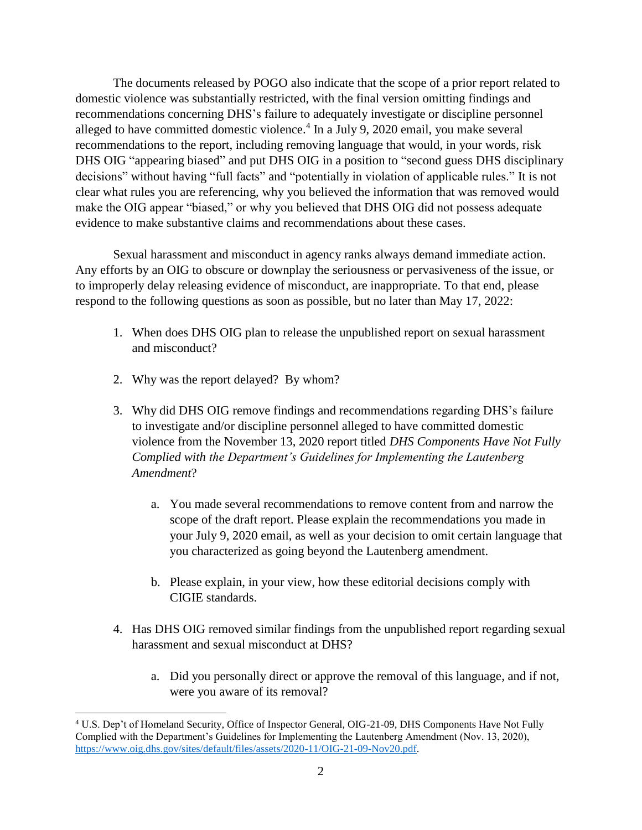The documents released by POGO also indicate that the scope of a prior report related to domestic violence was substantially restricted, with the final version omitting findings and recommendations concerning DHS's failure to adequately investigate or discipline personnel alleged to have committed domestic violence. 4 In a July 9, 2020 email, you make several recommendations to the report, including removing language that would, in your words, risk DHS OIG "appearing biased" and put DHS OIG in a position to "second guess DHS disciplinary decisions" without having "full facts" and "potentially in violation of applicable rules." It is not clear what rules you are referencing, why you believed the information that was removed would make the OIG appear "biased," or why you believed that DHS OIG did not possess adequate evidence to make substantive claims and recommendations about these cases.

Sexual harassment and misconduct in agency ranks always demand immediate action. Any efforts by an OIG to obscure or downplay the seriousness or pervasiveness of the issue, or to improperly delay releasing evidence of misconduct, are inappropriate. To that end, please respond to the following questions as soon as possible, but no later than May 17, 2022:

- 1. When does DHS OIG plan to release the unpublished report on sexual harassment and misconduct?
- 2. Why was the report delayed? By whom?

 $\overline{\phantom{a}}$ 

- 3. Why did DHS OIG remove findings and recommendations regarding DHS's failure to investigate and/or discipline personnel alleged to have committed domestic violence from the November 13, 2020 report titled *DHS Components Have Not Fully Complied with the Department's Guidelines for Implementing the Lautenberg Amendment*?
	- a. You made several recommendations to remove content from and narrow the scope of the draft report. Please explain the recommendations you made in your July 9, 2020 email, as well as your decision to omit certain language that you characterized as going beyond the Lautenberg amendment.
	- b. Please explain, in your view, how these editorial decisions comply with CIGIE standards.
- 4. Has DHS OIG removed similar findings from the unpublished report regarding sexual harassment and sexual misconduct at DHS?
	- a. Did you personally direct or approve the removal of this language, and if not, were you aware of its removal?

<sup>4</sup> U.S. Dep't of Homeland Security, Office of Inspector General, OIG-21-09, DHS Components Have Not Fully Complied with the Department's Guidelines for Implementing the Lautenberg Amendment (Nov. 13, 2020), [https://www.oig.dhs.gov/sites/default/files/assets/2020-11/OIG-21-09-Nov20.pdf.](https://www.oig.dhs.gov/sites/default/files/assets/2020-11/OIG-21-09-Nov20.pdf)